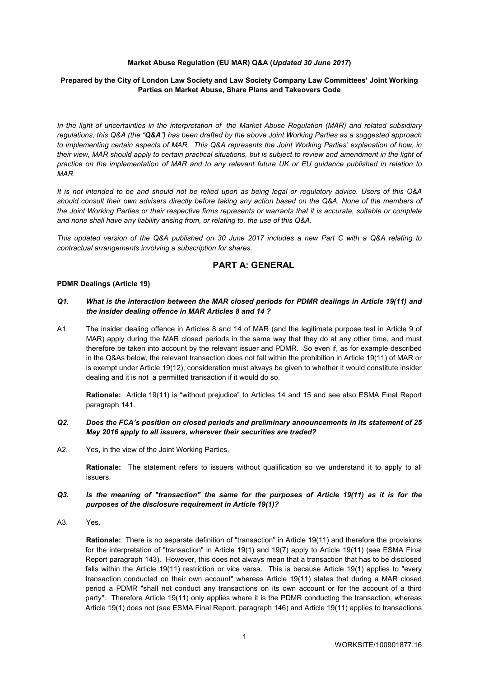#### **Market Abuse Regulation (EU MAR) Q&A (***Updated 30 June 2017***)**

### **Prepared by the City of London Law Society and Law Society Company Law Committees' Joint Working Parties on Market Abuse, Share Plans and Takeovers Code**

*In the light of uncertainties in the interpretation of the Market Abuse Regulation (MAR) and related subsidiary regulations, this Q&A (the "Q&A") has been drafted by the above Joint Working Parties as a suggested approach to implementing certain aspects of MAR. This Q&A represents the Joint Working Parties' explanation of how, in their view, MAR should apply to certain practical situations, but is subject to review and amendment in the light of practice on the implementation of MAR and to any relevant future UK or EU guidance published in relation to MAR.*

*It is not intended to be and should not be relied upon as being legal or regulatory advice. Users of this Q&A should consult their own advisers directly before taking any action based on the Q&A. None of the members of the Joint Working Parties or their respective firms represents or warrants that it is accurate, suitable or complete and none shall have any liability arising from, or relating to, the use of this Q&A.*

*This updated version of the Q&A published on 30 June 2017 includes a new Part C with a Q&A relating to contractual arrangements involving a subscription for shares.*

# **PART A: GENERAL**

#### **PDMR Dealings (Article 19)**

#### *Q1. What is the interaction between the MAR closed periods for PDMR dealings in Article 19(11) and the insider dealing offence in MAR Articles 8 and 14 ?*

A1. The insider dealing offence in Articles 8 and 14 of MAR (and the legitimate purpose test in Article 9 of MAR) apply during the MAR closed periods in the same way that they do at any other time, and must therefore be taken into account by the relevant issuer and PDMR. So even if, as for example described in the Q&As below, the relevant transaction does not fall within the prohibition in Article 19(11) of MAR or is exempt under Article 19(12), consideration must always be given to whether it would constitute insider dealing and it is not a permitted transaction if it would do so.

**Rationale:** Article 19(11) is "without prejudice" to Articles 14 and 15 and see also ESMA Final Report paragraph 141.

#### *Q2. Does the FCA's position on closed periods and preliminary announcements in its statement of 25 May 2016 apply to all issuers, wherever their securities are traded?*

A2. Yes, in the view of the Joint Working Parties.

**Rationale:** The statement refers to issuers without qualification so we understand it to apply to all issuers.

#### *Q3. Is the meaning of "transaction" the same for the purposes of Article 19(11) as it is for the purposes of the disclosure requirement in Article 19(1)?*

A3. Yes.

**Rationale:** There is no separate definition of "transaction" in Article 19(11) and therefore the provisions for the interpretation of "transaction" in Article 19(1) and 19(7) apply to Article 19(11) (see ESMA Final Report paragraph 143). However, this does not always mean that a transaction that has to be disclosed falls within the Article 19(11) restriction or vice versa. This is because Article 19(1) applies to "every transaction conducted on their own account" whereas Article 19(11) states that during a MAR closed period a PDMR "shall not conduct any transactions on its own account or for the account of a third party". Therefore Article 19(11) only applies where it is the PDMR conducting the transaction, whereas Article 19(1) does not (see ESMA Final Report, paragraph 146) and Article 19(11) applies to transactions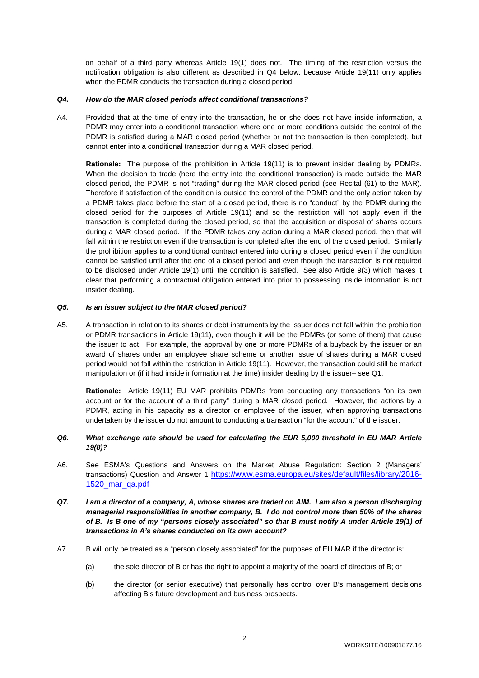on behalf of a third party whereas Article 19(1) does not. The timing of the restriction versus the notification obligation is also different as described in Q4 below, because Article 19(11) only applies when the PDMR conducts the transaction during a closed period.

#### *Q4. How do the MAR closed periods affect conditional transactions?*

A4. Provided that at the time of entry into the transaction, he or she does not have inside information, a PDMR may enter into a conditional transaction where one or more conditions outside the control of the PDMR is satisfied during a MAR closed period (whether or not the transaction is then completed), but cannot enter into a conditional transaction during a MAR closed period.

 **Rationale:** The purpose of the prohibition in Article 19(11) is to prevent insider dealing by PDMRs. When the decision to trade (here the entry into the conditional transaction) is made outside the MAR closed period, the PDMR is not "trading" during the MAR closed period (see Recital (61) to the MAR). Therefore if satisfaction of the condition is outside the control of the PDMR and the only action taken by a PDMR takes place before the start of a closed period, there is no "conduct" by the PDMR during the closed period for the purposes of Article 19(11) and so the restriction will not apply even if the transaction is completed during the closed period, so that the acquisition or disposal of shares occurs during a MAR closed period. If the PDMR takes any action during a MAR closed period, then that will fall within the restriction even if the transaction is completed after the end of the closed period. Similarly the prohibition applies to a conditional contract entered into during a closed period even if the condition cannot be satisfied until after the end of a closed period and even though the transaction is not required to be disclosed under Article 19(1) until the condition is satisfied. See also Article 9(3) which makes it clear that performing a contractual obligation entered into prior to possessing inside information is not insider dealing.

#### *Q5. Is an issuer subject to the MAR closed period?*

A5. A transaction in relation to its shares or debt instruments by the issuer does not fall within the prohibition or PDMR transactions in Article 19(11), even though it will be the PDMRs (or some of them) that cause the issuer to act. For example, the approval by one or more PDMRs of a buyback by the issuer or an award of shares under an employee share scheme or another issue of shares during a MAR closed period would not fall within the restriction in Article 19(11). However, the transaction could still be market manipulation or (if it had inside information at the time) insider dealing by the issuer– see Q1.

**Rationale:** Article 19(11) EU MAR prohibits PDMRs from conducting any transactions "on its own account or for the account of a third party" during a MAR closed period. However, the actions by a PDMR, acting in his capacity as a director or employee of the issuer, when approving transactions undertaken by the issuer do not amount to conducting a transaction "for the account" of the issuer.

### *Q6. What exchange rate should be used for calculating the EUR 5,000 threshold in EU MAR Article 19(8)?*

- A6. See ESMA's Questions and Answers on the Market Abuse Regulation: Section 2 (Managers' transactions) Question and Answer 1 https://www.esma.europa.eu/sites/default/files/library/2016- 1520\_mar\_qa.pdf
- *Q7. I am a director of a company, A, whose shares are traded on AIM. I am also a person discharging managerial responsibilities in another company, B. I do not control more than 50% of the shares of B. Is B one of my "persons closely associated" so that B must notify A under Article 19(1) of transactions in A's shares conducted on its own account?*
- A7. B will only be treated as a "person closely associated" for the purposes of EU MAR if the director is:
	- (a) the sole director of B or has the right to appoint a majority of the board of directors of B; or
	- (b) the director (or senior executive) that personally has control over B's management decisions affecting B's future development and business prospects.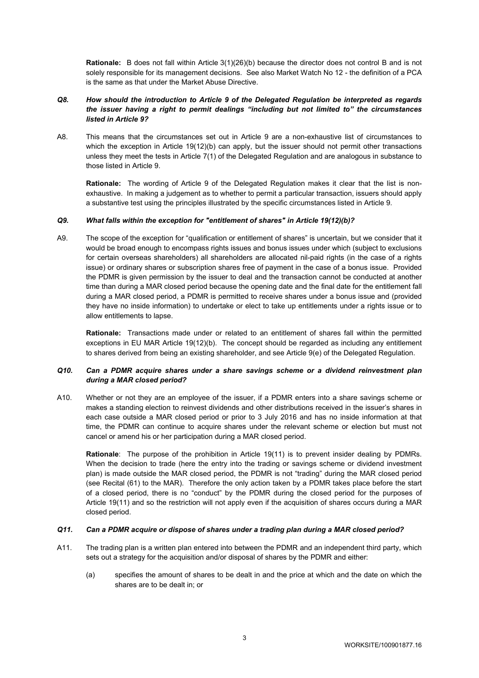**Rationale:** B does not fall within Article 3(1)(26)(b) because the director does not control B and is not solely responsible for its management decisions. See also Market Watch No 12 - the definition of a PCA is the same as that under the Market Abuse Directive.

### *Q8. How should the introduction to Article 9 of the Delegated Regulation be interpreted as regards the issuer having a right to permit dealings "including but not limited to" the circumstances listed in Article 9?*

A8. This means that the circumstances set out in Article 9 are a non-exhaustive list of circumstances to which the exception in Article 19(12)(b) can apply, but the issuer should not permit other transactions unless they meet the tests in Article 7(1) of the Delegated Regulation and are analogous in substance to those listed in Article 9.

**Rationale:** The wording of Article 9 of the Delegated Regulation makes it clear that the list is nonexhaustive. In making a judgement as to whether to permit a particular transaction, issuers should apply a substantive test using the principles illustrated by the specific circumstances listed in Article 9.

### *Q9. What falls within the exception for "entitlement of shares" in Article 19(12)(b)?*

A9. The scope of the exception for "qualification or entitlement of shares" is uncertain, but we consider that it would be broad enough to encompass rights issues and bonus issues under which (subject to exclusions for certain overseas shareholders) all shareholders are allocated nil-paid rights (in the case of a rights issue) or ordinary shares or subscription shares free of payment in the case of a bonus issue. Provided the PDMR is given permission by the issuer to deal and the transaction cannot be conducted at another time than during a MAR closed period because the opening date and the final date for the entitlement fall during a MAR closed period, a PDMR is permitted to receive shares under a bonus issue and (provided they have no inside information) to undertake or elect to take up entitlements under a rights issue or to allow entitlements to lapse.

**Rationale:** Transactions made under or related to an entitlement of shares fall within the permitted exceptions in EU MAR Article 19(12)(b). The concept should be regarded as including any entitlement to shares derived from being an existing shareholder, and see Article 9(e) of the Delegated Regulation.

### *Q10. Can a PDMR acquire shares under a share savings scheme or a dividend reinvestment plan during a MAR closed period?*

A10. Whether or not they are an employee of the issuer, if a PDMR enters into a share savings scheme or makes a standing election to reinvest dividends and other distributions received in the issuer's shares in each case outside a MAR closed period or prior to 3 July 2016 and has no inside information at that time, the PDMR can continue to acquire shares under the relevant scheme or election but must not cancel or amend his or her participation during a MAR closed period.

**Rationale**: The purpose of the prohibition in Article 19(11) is to prevent insider dealing by PDMRs. When the decision to trade (here the entry into the trading or savings scheme or dividend investment plan) is made outside the MAR closed period, the PDMR is not "trading" during the MAR closed period (see Recital (61) to the MAR). Therefore the only action taken by a PDMR takes place before the start of a closed period, there is no "conduct" by the PDMR during the closed period for the purposes of Article 19(11) and so the restriction will not apply even if the acquisition of shares occurs during a MAR closed period.

### *Q11. Can a PDMR acquire or dispose of shares under a trading plan during a MAR closed period?*

- A11. The trading plan is a written plan entered into between the PDMR and an independent third party, which sets out a strategy for the acquisition and/or disposal of shares by the PDMR and either:
	- (a) specifies the amount of shares to be dealt in and the price at which and the date on which the shares are to be dealt in; or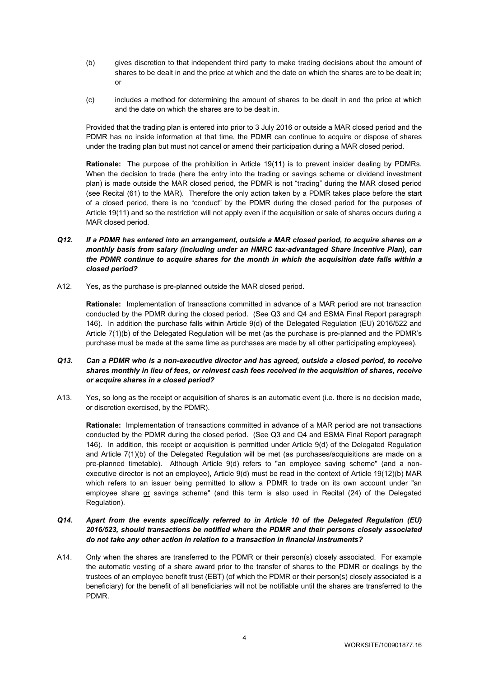- (b) gives discretion to that independent third party to make trading decisions about the amount of shares to be dealt in and the price at which and the date on which the shares are to be dealt in; or
- (c) includes a method for determining the amount of shares to be dealt in and the price at which and the date on which the shares are to be dealt in.

Provided that the trading plan is entered into prior to 3 July 2016 or outside a MAR closed period and the PDMR has no inside information at that time, the PDMR can continue to acquire or dispose of shares under the trading plan but must not cancel or amend their participation during a MAR closed period.

**Rationale:** The purpose of the prohibition in Article 19(11) is to prevent insider dealing by PDMRs. When the decision to trade (here the entry into the trading or savings scheme or dividend investment plan) is made outside the MAR closed period, the PDMR is not "trading" during the MAR closed period (see Recital (61) to the MAR). Therefore the only action taken by a PDMR takes place before the start of a closed period, there is no "conduct" by the PDMR during the closed period for the purposes of Article 19(11) and so the restriction will not apply even if the acquisition or sale of shares occurs during a MAR closed period.

- *Q12. If a PDMR has entered into an arrangement, outside a MAR closed period, to acquire shares on a monthly basis from salary (including under an HMRC tax-advantaged Share Incentive Plan), can the PDMR continue to acquire shares for the month in which the acquisition date falls within a closed period?*
- A12. Yes, as the purchase is pre-planned outside the MAR closed period.

**Rationale:** Implementation of transactions committed in advance of a MAR period are not transaction conducted by the PDMR during the closed period. (See Q3 and Q4 and ESMA Final Report paragraph 146). In addition the purchase falls within Article 9(d) of the Delegated Regulation (EU) 2016/522 and Article 7(1)(b) of the Delegated Regulation will be met (as the purchase is pre-planned and the PDMR's purchase must be made at the same time as purchases are made by all other participating employees).

### *Q13. Can a PDMR who is a non-executive director and has agreed, outside a closed period, to receive shares monthly in lieu of fees, or reinvest cash fees received in the acquisition of shares, receive or acquire shares in a closed period?*

A13. Yes, so long as the receipt or acquisition of shares is an automatic event (i.e. there is no decision made, or discretion exercised, by the PDMR).

**Rationale:** Implementation of transactions committed in advance of a MAR period are not transactions conducted by the PDMR during the closed period. (See Q3 and Q4 and ESMA Final Report paragraph 146). In addition, this receipt or acquisition is permitted under Article 9(d) of the Delegated Regulation and Article 7(1)(b) of the Delegated Regulation will be met (as purchases/acquisitions are made on a pre-planned timetable). Although Article 9(d) refers to "an employee saving scheme" (and a nonexecutive director is not an employee), Article 9(d) must be read in the context of Article 19(12)(b) MAR which refers to an issuer being permitted to allow a PDMR to trade on its own account under "an employee share or savings scheme" (and this term is also used in Recital (24) of the Delegated Regulation).

### *Q14. Apart from the events specifically referred to in Article 10 of the Delegated Regulation (EU) 2016/523, should transactions be notified where the PDMR and their persons closely associated do not take any other action in relation to a transaction in financial instruments?*

A14. Only when the shares are transferred to the PDMR or their person(s) closely associated. For example the automatic vesting of a share award prior to the transfer of shares to the PDMR or dealings by the trustees of an employee benefit trust (EBT) (of which the PDMR or their person(s) closely associated is a beneficiary) for the benefit of all beneficiaries will not be notifiable until the shares are transferred to the PDMR.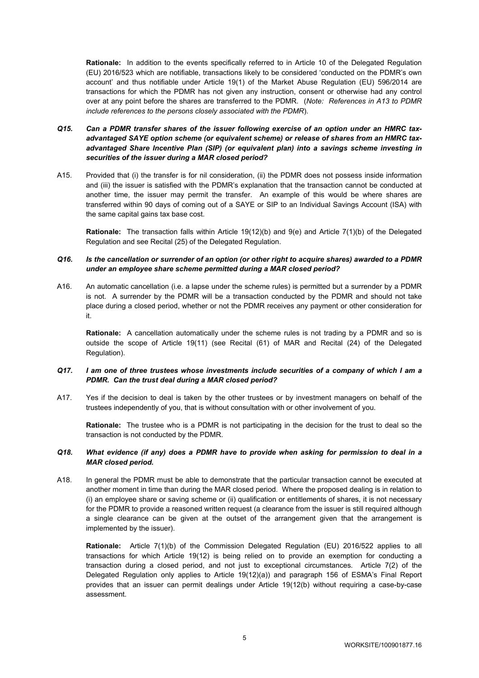**Rationale:** In addition to the events specifically referred to in Article 10 of the Delegated Regulation (EU) 2016/523 which are notifiable, transactions likely to be considered 'conducted on the PDMR's own account' and thus notifiable under Article 19(1) of the Market Abuse Regulation (EU) 596/2014 are transactions for which the PDMR has not given any instruction, consent or otherwise had any control over at any point before the shares are transferred to the PDMR. (*Note: References in A13 to PDMR include references to the persons closely associated with the PDMR*).

- *Q15. Can a PDMR transfer shares of the issuer following exercise of an option under an HMRC tax*advantaged SAYE option scheme (or equivalent scheme) or release of shares from an HMRC tax*advantaged Share Incentive Plan (SIP) (or equivalent plan) into a savings scheme investing in securities of the issuer during a MAR closed period?*
- A15. Provided that (i) the transfer is for nil consideration, (ii) the PDMR does not possess inside information and (iii) the issuer is satisfied with the PDMR's explanation that the transaction cannot be conducted at another time, the issuer may permit the transfer. An example of this would be where shares are transferred within 90 days of coming out of a SAYE or SIP to an Individual Savings Account (ISA) with the same capital gains tax base cost.

**Rationale:** The transaction falls within Article 19(12)(b) and 9(e) and Article 7(1)(b) of the Delegated Regulation and see Recital (25) of the Delegated Regulation.

#### *Q16. Is the cancellation or surrender of an option (or other right to acquire shares) awarded to a PDMR under an employee share scheme permitted during a MAR closed period?*

A16. An automatic cancellation (i.e. a lapse under the scheme rules) is permitted but a surrender by a PDMR is not. A surrender by the PDMR will be a transaction conducted by the PDMR and should not take place during a closed period, whether or not the PDMR receives any payment or other consideration for it.

**Rationale:** A cancellation automatically under the scheme rules is not trading by a PDMR and so is outside the scope of Article 19(11) (see Recital (61) of MAR and Recital (24) of the Delegated Regulation).

### *Q17. I am one of three trustees whose investments include securities of a company of which I am a PDMR. Can the trust deal during a MAR closed period?*

A17. Yes if the decision to deal is taken by the other trustees or by investment managers on behalf of the trustees independently of you, that is without consultation with or other involvement of you.

**Rationale:** The trustee who is a PDMR is not participating in the decision for the trust to deal so the transaction is not conducted by the PDMR.

#### *Q18. What evidence (if any) does a PDMR have to provide when asking for permission to deal in a MAR closed period.*

A18. In general the PDMR must be able to demonstrate that the particular transaction cannot be executed at another moment in time than during the MAR closed period. Where the proposed dealing is in relation to (i) an employee share or saving scheme or (ii) qualification or entitlements of shares, it is not necessary for the PDMR to provide a reasoned written request (a clearance from the issuer is still required although a single clearance can be given at the outset of the arrangement given that the arrangement is implemented by the issuer).

**Rationale:** Article 7(1)(b) of the Commission Delegated Regulation (EU) 2016/522 applies to all transactions for which Article 19(12) is being relied on to provide an exemption for conducting a transaction during a closed period, and not just to exceptional circumstances. Article 7(2) of the Delegated Regulation only applies to Article 19(12)(a)) and paragraph 156 of ESMA's Final Report provides that an issuer can permit dealings under Article 19(12(b) without requiring a case-by-case assessment.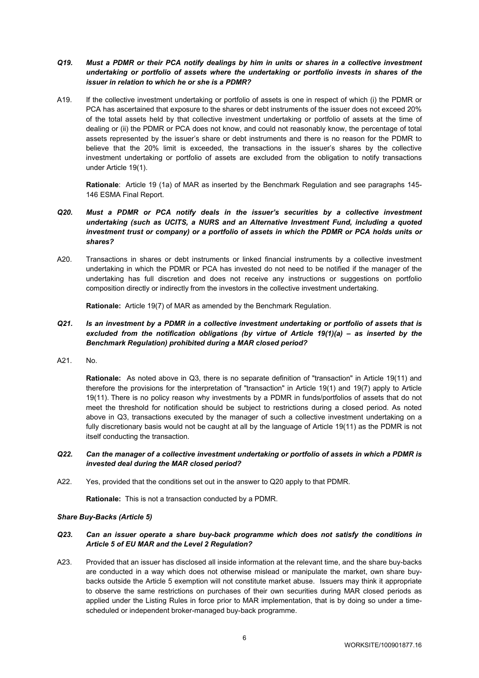### *Q19. Must a PDMR or their PCA notify dealings by him in units or shares in a collective investment undertaking or portfolio of assets where the undertaking or portfolio invests in shares of the issuer in relation to which he or she is a PDMR?*

A19. If the collective investment undertaking or portfolio of assets is one in respect of which (i) the PDMR or PCA has ascertained that exposure to the shares or debt instruments of the issuer does not exceed 20% of the total assets held by that collective investment undertaking or portfolio of assets at the time of dealing or (ii) the PDMR or PCA does not know, and could not reasonably know, the percentage of total assets represented by the issuer's share or debt instruments and there is no reason for the PDMR to believe that the 20% limit is exceeded, the transactions in the issuer's shares by the collective investment undertaking or portfolio of assets are excluded from the obligation to notify transactions under Article 19(1).

**Rationale**: Article 19 (1a) of MAR as inserted by the Benchmark Regulation and see paragraphs 145- 146 ESMA Final Report.

- *Q20. Must a PDMR or PCA notify deals in the issuer's securities by a collective investment undertaking (such as UCITS, a NURS and an Alternative Investment Fund, including a quoted investment trust or company) or a portfolio of assets in which the PDMR or PCA holds units or shares?*
- A20. Transactions in shares or debt instruments or linked financial instruments by a collective investment undertaking in which the PDMR or PCA has invested do not need to be notified if the manager of the undertaking has full discretion and does not receive any instructions or suggestions on portfolio composition directly or indirectly from the investors in the collective investment undertaking.

**Rationale:** Article 19(7) of MAR as amended by the Benchmark Regulation.

- *Q21. Is an investment by a PDMR in a collective investment undertaking or portfolio of assets that is excluded from the notification obligations (by virtue of Article 19(1)(a) – as inserted by the Benchmark Regulation) prohibited during a MAR closed period?*
- A21. No.

**Rationale:** As noted above in Q3, there is no separate definition of "transaction" in Article 19(11) and therefore the provisions for the interpretation of "transaction" in Article 19(1) and 19(7) apply to Article 19(11). There is no policy reason why investments by a PDMR in funds/portfolios of assets that do not meet the threshold for notification should be subject to restrictions during a closed period. As noted above in Q3, transactions executed by the manager of such a collective investment undertaking on a fully discretionary basis would not be caught at all by the language of Article 19(11) as the PDMR is not itself conducting the transaction.

#### *Q22. Can the manager of a collective investment undertaking or portfolio of assets in which a PDMR is invested deal during the MAR closed period?*

A22. Yes, provided that the conditions set out in the answer to Q20 apply to that PDMR.

**Rationale:** This is not a transaction conducted by a PDMR.

#### *Share Buy-Backs (Article 5)*

### *Q23. Can an issuer operate a share buy-back programme which does not satisfy the conditions in Article 5 of EU MAR and the Level 2 Regulation?*

A23. Provided that an issuer has disclosed all inside information at the relevant time, and the share buy-backs are conducted in a way which does not otherwise mislead or manipulate the market, own share buybacks outside the Article 5 exemption will not constitute market abuse. Issuers may think it appropriate to observe the same restrictions on purchases of their own securities during MAR closed periods as applied under the Listing Rules in force prior to MAR implementation, that is by doing so under a timescheduled or independent broker-managed buy-back programme.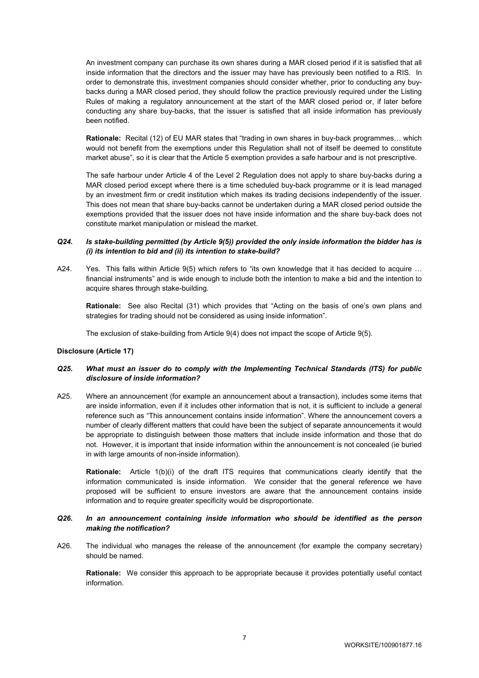An investment company can purchase its own shares during a MAR closed period if it is satisfied that all inside information that the directors and the issuer may have has previously been notified to a RIS. In order to demonstrate this, investment companies should consider whether, prior to conducting any buybacks during a MAR closed period, they should follow the practice previously required under the Listing Rules of making a regulatory announcement at the start of the MAR closed period or, if later before conducting any share buy-backs, that the issuer is satisfied that all inside information has previously been notified.

**Rationale:** Recital (12) of EU MAR states that "trading in own shares in buy-back programmes… which would not benefit from the exemptions under this Regulation shall not of itself be deemed to constitute market abuse", so it is clear that the Article 5 exemption provides a safe harbour and is not prescriptive.

The safe harbour under Article 4 of the Level 2 Regulation does not apply to share buy-backs during a MAR closed period except where there is a time scheduled buy-back programme or it is lead managed by an investment firm or credit institution which makes its trading decisions independently of the issuer. This does not mean that share buy-backs cannot be undertaken during a MAR closed period outside the exemptions provided that the issuer does not have inside information and the share buy-back does not constitute market manipulation or mislead the market.

### *Q24. Is stake-building permitted (by Article 9(5)) provided the only inside information the bidder has is (i) its intention to bid and (ii) its intention to stake-build?*

A24. Yes. This falls within Article 9(5) which refers to "its own knowledge that it has decided to acquire ... financial instruments" and is wide enough to include both the intention to make a bid and the intention to acquire shares through stake-building.

**Rationale:** See also Recital (31) which provides that "Acting on the basis of one's own plans and strategies for trading should not be considered as using inside information".

The exclusion of stake-building from Article 9(4) does not impact the scope of Article 9(5).

### **Disclosure (Article 17)**

### *Q25. What must an issuer do to comply with the Implementing Technical Standards (ITS) for public disclosure of inside information?*

A25. Where an announcement (for example an announcement about a transaction), includes some items that are inside information, even if it includes other information that is not, it is sufficient to include a general reference such as "This announcement contains inside information". Where the announcement covers a number of clearly different matters that could have been the subject of separate announcements it would be appropriate to distinguish between those matters that include inside information and those that do not. However, it is important that inside information within the announcement is not concealed (ie buried in with large amounts of non-inside information).

**Rationale:** Article 1(b)(i) of the draft ITS requires that communications clearly identify that the information communicated is inside information. We consider that the general reference we have proposed will be sufficient to ensure investors are aware that the announcement contains inside information and to require greater specificity would be disproportionate.

#### *Q26. In an announcement containing inside information who should be identified as the person making the notification?*

A26. The individual who manages the release of the announcement (for example the company secretary) should be named.

**Rationale:** We consider this approach to be appropriate because it provides potentially useful contact information.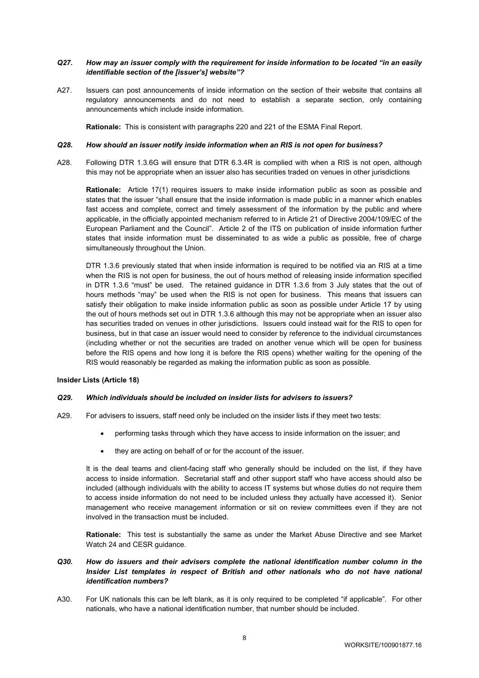#### *Q27. How may an issuer comply with the requirement for inside information to be located "in an easily identifiable section of the [issuer's] website"?*

A27. Issuers can post announcements of inside information on the section of their website that contains all regulatory announcements and do not need to establish a separate section, only containing announcements which include inside information.

**Rationale:** This is consistent with paragraphs 220 and 221 of the ESMA Final Report.

#### *Q28. How should an issuer notify inside information when an RIS is not open for business?*

A28. Following DTR 1.3.6G will ensure that DTR 6.3.4R is complied with when a RIS is not open, although this may not be appropriate when an issuer also has securities traded on venues in other jurisdictions

**Rationale:** Article 17(1) requires issuers to make inside information public as soon as possible and states that the issuer "shall ensure that the inside information is made public in a manner which enables fast access and complete, correct and timely assessment of the information by the public and where applicable, in the officially appointed mechanism referred to in Article 21 of Directive 2004/109/EC of the European Parliament and the Council". Article 2 of the ITS on publication of inside information further states that inside information must be disseminated to as wide a public as possible, free of charge simultaneously throughout the Union.

DTR 1.3.6 previously stated that when inside information is required to be notified via an RIS at a time when the RIS is not open for business, the out of hours method of releasing inside information specified in DTR 1.3.6 "must" be used. The retained guidance in DTR 1.3.6 from 3 July states that the out of hours methods "may" be used when the RIS is not open for business. This means that issuers can satisfy their obligation to make inside information public as soon as possible under Article 17 by using the out of hours methods set out in DTR 1.3.6 although this may not be appropriate when an issuer also has securities traded on venues in other jurisdictions. Issuers could instead wait for the RIS to open for business, but in that case an issuer would need to consider by reference to the individual circumstances (including whether or not the securities are traded on another venue which will be open for business before the RIS opens and how long it is before the RIS opens) whether waiting for the opening of the RIS would reasonably be regarded as making the information public as soon as possible.

### **Insider Lists (Article 18)**

#### *Q29. Which individuals should be included on insider lists for advisers to issuers?*

- A29. For advisers to issuers, staff need only be included on the insider lists if they meet two tests:
	- performing tasks through which they have access to inside information on the issuer; and
	- they are acting on behalf of or for the account of the issuer.

It is the deal teams and client-facing staff who generally should be included on the list, if they have access to inside information. Secretarial staff and other support staff who have access should also be included (although individuals with the ability to access IT systems but whose duties do not require them to access inside information do not need to be included unless they actually have accessed it). Senior management who receive management information or sit on review committees even if they are not involved in the transaction must be included.

**Rationale:** This test is substantially the same as under the Market Abuse Directive and see Market Watch 24 and CESR guidance.

### *Q30. How do issuers and their advisers complete the national identification number column in the Insider List templates in respect of British and other nationals who do not have national identification numbers?*

A30. For UK nationals this can be left blank, as it is only required to be completed "if applicable". For other nationals, who have a national identification number, that number should be included.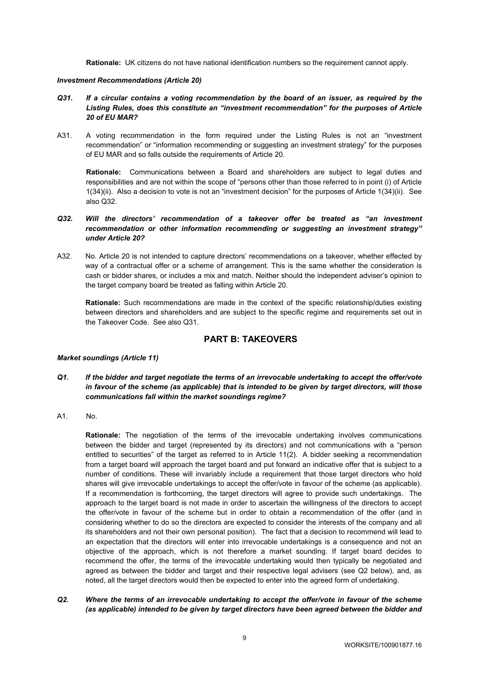**Rationale:** UK citizens do not have national identification numbers so the requirement cannot apply.

#### *Investment Recommendations (Article 20)*

- *Q31. If a circular contains a voting recommendation by the board of an issuer, as required by the Listing Rules, does this constitute an "investment recommendation" for the purposes of Article 20 of EU MAR?*
- A31. A voting recommendation in the form required under the Listing Rules is not an "investment recommendation" or "information recommending or suggesting an investment strategy" for the purposes of EU MAR and so falls outside the requirements of Article 20.

**Rationale:** Communications between a Board and shareholders are subject to legal duties and responsibilities and are not within the scope of "persons other than those referred to in point (i) of Article 1(34)(ii). Also a decision to vote is not an "investment decision" for the purposes of Article 1(34)(ii). See also Q32.

### *Q32. Will the directors' recommendation of a takeover offer be treated as "an investment recommendation or other information recommending or suggesting an investment strategy" under Article 20?*

A32. No. Article 20 is not intended to capture directors' recommendations on a takeover, whether effected by way of a contractual offer or a scheme of arrangement. This is the same whether the consideration is cash or bidder shares, or includes a mix and match. Neither should the independent adviser's opinion to the target company board be treated as falling within Article 20.

**Rationale:** Such recommendations are made in the context of the specific relationship/duties existing between directors and shareholders and are subject to the specific regime and requirements set out in the Takeover Code. See also Q31.

# **PART B: TAKEOVERS**

### *Market soundings (Article 11)*

- *Q1. If the bidder and target negotiate the terms of an irrevocable undertaking to accept the offer/vote in favour of the scheme (as applicable) that is intended to be given by target directors, will those communications fall within the market soundings regime?*
- A1. No.

**Rationale:** The negotiation of the terms of the irrevocable undertaking involves communications between the bidder and target (represented by its directors) and not communications with a "person entitled to securities" of the target as referred to in Article 11(2). A bidder seeking a recommendation from a target board will approach the target board and put forward an indicative offer that is subject to a number of conditions. These will invariably include a requirement that those target directors who hold shares will give irrevocable undertakings to accept the offer/vote in favour of the scheme (as applicable). If a recommendation is forthcoming, the target directors will agree to provide such undertakings. The approach to the target board is not made in order to ascertain the willingness of the directors to accept the offer/vote in favour of the scheme but in order to obtain a recommendation of the offer (and in considering whether to do so the directors are expected to consider the interests of the company and all its shareholders and not their own personal position). The fact that a decision to recommend will lead to an expectation that the directors will enter into irrevocable undertakings is a consequence and not an objective of the approach, which is not therefore a market sounding. If target board decides to recommend the offer, the terms of the irrevocable undertaking would then typically be negotiated and agreed as between the bidder and target and their respective legal advisers (see Q2 below), and, as noted, all the target directors would then be expected to enter into the agreed form of undertaking.

*Q2. Where the terms of an irrevocable undertaking to accept the offer/vote in favour of the scheme (as applicable) intended to be given by target directors have been agreed between the bidder and*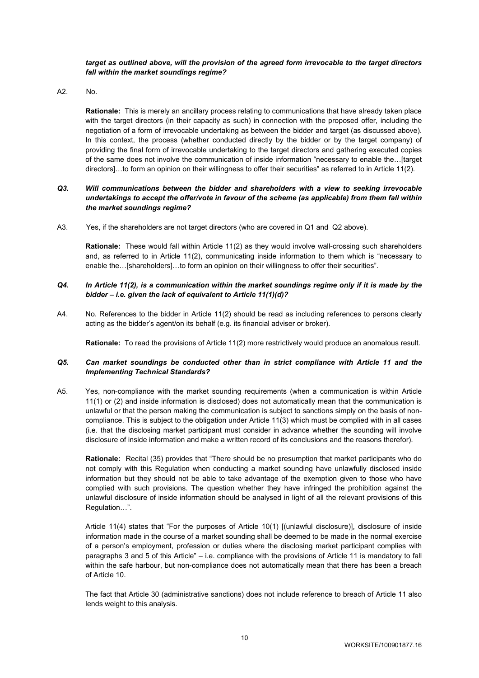#### *target as outlined above, will the provision of the agreed form irrevocable to the target directors fall within the market soundings regime?*

A2. No.

**Rationale:** This is merely an ancillary process relating to communications that have already taken place with the target directors (in their capacity as such) in connection with the proposed offer, including the negotiation of a form of irrevocable undertaking as between the bidder and target (as discussed above). In this context, the process (whether conducted directly by the bidder or by the target company) of providing the final form of irrevocable undertaking to the target directors and gathering executed copies of the same does not involve the communication of inside information "necessary to enable the…[target directors]…to form an opinion on their willingness to offer their securities" as referred to in Article 11(2).

### *Q3. Will communications between the bidder and shareholders with a view to seeking irrevocable undertakings to accept the offer/vote in favour of the scheme (as applicable) from them fall within the market soundings regime?*

A3. Yes, if the shareholders are not target directors (who are covered in Q1 and Q2 above).

**Rationale:** These would fall within Article 11(2) as they would involve wall-crossing such shareholders and, as referred to in Article 11(2), communicating inside information to them which is "necessary to enable the…[shareholders]…to form an opinion on their willingness to offer their securities".

### *Q4. In Article 11(2), is a communication within the market soundings regime only if it is made by the bidder – i.e. given the lack of equivalent to Article 11(1)(d)?*

A4. No. References to the bidder in Article 11(2) should be read as including references to persons clearly acting as the bidder's agent/on its behalf (e.g. its financial adviser or broker).

**Rationale:** To read the provisions of Article 11(2) more restrictively would produce an anomalous result.

### *Q5. Can market soundings be conducted other than in strict compliance with Article 11 and the Implementing Technical Standards?*

A5. Yes, non-compliance with the market sounding requirements (when a communication is within Article 11(1) or (2) and inside information is disclosed) does not automatically mean that the communication is unlawful or that the person making the communication is subject to sanctions simply on the basis of noncompliance. This is subject to the obligation under Article 11(3) which must be complied with in all cases (i.e. that the disclosing market participant must consider in advance whether the sounding will involve disclosure of inside information and make a written record of its conclusions and the reasons therefor).

**Rationale:** Recital (35) provides that "There should be no presumption that market participants who do not comply with this Regulation when conducting a market sounding have unlawfully disclosed inside information but they should not be able to take advantage of the exemption given to those who have complied with such provisions. The question whether they have infringed the prohibition against the unlawful disclosure of inside information should be analysed in light of all the relevant provisions of this Regulation…".

Article 11(4) states that "For the purposes of Article 10(1) [(unlawful disclosure)], disclosure of inside information made in the course of a market sounding shall be deemed to be made in the normal exercise of a person's employment, profession or duties where the disclosing market participant complies with paragraphs 3 and 5 of this Article" – i.e. compliance with the provisions of Article 11 is mandatory to fall within the safe harbour, but non-compliance does not automatically mean that there has been a breach of Article 10.

The fact that Article 30 (administrative sanctions) does not include reference to breach of Article 11 also lends weight to this analysis.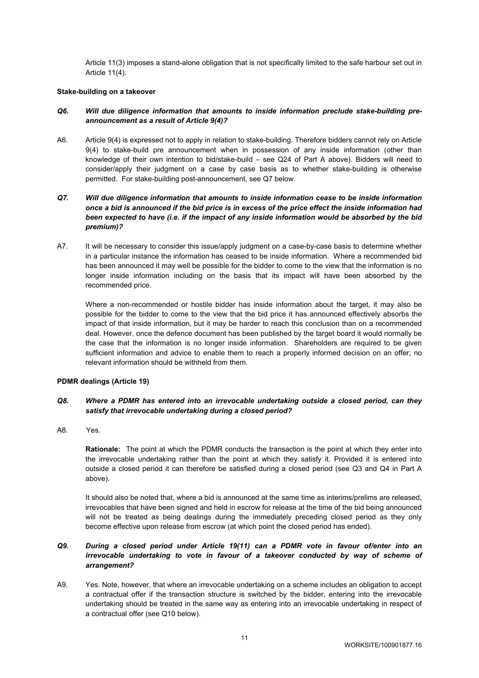Article 11(3) imposes a stand-alone obligation that is not specifically limited to the safe harbour set out in Article 11(4).

### **Stake-building on a takeover**

### *Q6. Will due diligence information that amounts to inside information preclude stake-building preannouncement as a result of Article 9(4)?*

A6. Article 9(4) is expressed not to apply in relation to stake-building. Therefore bidders cannot rely on Article 9(4) to stake-build pre announcement when in possession of any inside information (other than knowledge of their own intention to bid/stake-build – see Q24 of Part A above). Bidders will need to consider/apply their judgment on a case by case basis as to whether stake-building is otherwise permitted. For stake-building post-announcement, see Q7 below.

### *Q7. Will due diligence information that amounts to inside information cease to be inside information once a bid is announced if the bid price is in excess of the price effect the inside information had been expected to have (i.e. if the impact of any inside information would be absorbed by the bid premium)?*

A7. It will be necessary to consider this issue/apply judgment on a case-by-case basis to determine whether in a particular instance the information has ceased to be inside information. Where a recommended bid has been announced it may well be possible for the bidder to come to the view that the information is no longer inside information including on the basis that its impact will have been absorbed by the recommended price.

Where a non-recommended or hostile bidder has inside information about the target, it may also be possible for the bidder to come to the view that the bid price it has announced effectively absorbs the impact of that inside information, but it may be harder to reach this conclusion than on a recommended deal. However, once the defence document has been published by the target board it would normally be the case that the information is no longer inside information. Shareholders are required to be given sufficient information and advice to enable them to reach a properly informed decision on an offer; no relevant information should be withheld from them.

### **PDMR dealings (Article 19)**

### *Q8. Where a PDMR has entered into an irrevocable undertaking outside a closed period, can they satisfy that irrevocable undertaking during a closed period?*

A8. Yes.

**Rationale:** The point at which the PDMR conducts the transaction is the point at which they enter into the irrevocable undertaking rather than the point at which they satisfy it. Provided it is entered into outside a closed period it can therefore be satisfied during a closed period (see Q3 and Q4 in Part A above).

It should also be noted that, where a bid is announced at the same time as interims/prelims are released, irrevocables that have been signed and held in escrow for release at the time of the bid being announced will not be treated as being dealings during the immediately preceding closed period as they only become effective upon release from escrow (at which point the closed period has ended).

### *Q9. During a closed period under Article 19(11) can a PDMR vote in favour of/enter into an irrevocable undertaking to vote in favour of a takeover conducted by way of scheme of arrangement?*

A9. Yes. Note, however, that where an irrevocable undertaking on a scheme includes an obligation to accept a contractual offer if the transaction structure is switched by the bidder, entering into the irrevocable undertaking should be treated in the same way as entering into an irrevocable undertaking in respect of a contractual offer (see Q10 below).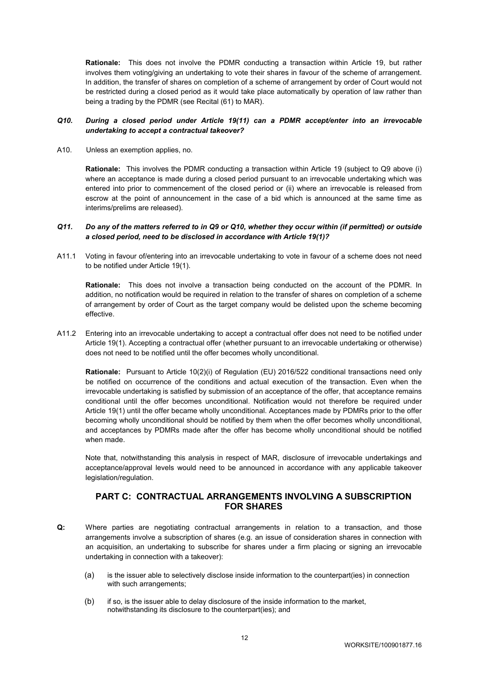**Rationale:** This does not involve the PDMR conducting a transaction within Article 19, but rather involves them voting/giving an undertaking to vote their shares in favour of the scheme of arrangement. In addition, the transfer of shares on completion of a scheme of arrangement by order of Court would not be restricted during a closed period as it would take place automatically by operation of law rather than being a trading by the PDMR (see Recital (61) to MAR).

### *Q10. During a closed period under Article 19(11) can a PDMR accept/enter into an irrevocable undertaking to accept a contractual takeover?*

A10. Unless an exemption applies, no.

**Rationale:** This involves the PDMR conducting a transaction within Article 19 (subject to Q9 above (i) where an acceptance is made during a closed period pursuant to an irrevocable undertaking which was entered into prior to commencement of the closed period or (ii) where an irrevocable is released from escrow at the point of announcement in the case of a bid which is announced at the same time as interims/prelims are released).

#### *Q11. Do any of the matters referred to in Q9 or Q10, whether they occur within (if permitted) or outside a closed period, need to be disclosed in accordance with Article 19(1)?*

A11.1 Voting in favour of/entering into an irrevocable undertaking to vote in favour of a scheme does not need to be notified under Article 19(1).

**Rationale:** This does not involve a transaction being conducted on the account of the PDMR. In addition, no notification would be required in relation to the transfer of shares on completion of a scheme of arrangement by order of Court as the target company would be delisted upon the scheme becoming effective.

A11.2 Entering into an irrevocable undertaking to accept a contractual offer does not need to be notified under Article 19(1). Accepting a contractual offer (whether pursuant to an irrevocable undertaking or otherwise) does not need to be notified until the offer becomes wholly unconditional.

**Rationale:** Pursuant to Article 10(2)(i) of Regulation (EU) 2016/522 conditional transactions need only be notified on occurrence of the conditions and actual execution of the transaction. Even when the irrevocable undertaking is satisfied by submission of an acceptance of the offer, that acceptance remains conditional until the offer becomes unconditional. Notification would not therefore be required under Article 19(1) until the offer became wholly unconditional. Acceptances made by PDMRs prior to the offer becoming wholly unconditional should be notified by them when the offer becomes wholly unconditional, and acceptances by PDMRs made after the offer has become wholly unconditional should be notified when made.

Note that, notwithstanding this analysis in respect of MAR, disclosure of irrevocable undertakings and acceptance/approval levels would need to be announced in accordance with any applicable takeover legislation/regulation.

# **PART C: CONTRACTUAL ARRANGEMENTS INVOLVING A SUBSCRIPTION FOR SHARES**

- **Q:** Where parties are negotiating contractual arrangements in relation to a transaction, and those arrangements involve a subscription of shares (e.g. an issue of consideration shares in connection with an acquisition, an undertaking to subscribe for shares under a firm placing or signing an irrevocable undertaking in connection with a takeover):
	- (a) is the issuer able to selectively disclose inside information to the counterpart(ies) in connection with such arrangements;
	- (b) if so, is the issuer able to delay disclosure of the inside information to the market, notwithstanding its disclosure to the counterpart(ies); and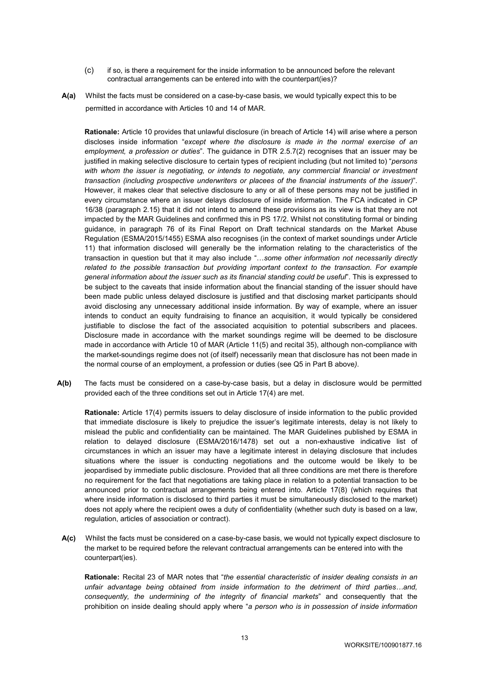- (c) if so, is there a requirement for the inside information to be announced before the relevant contractual arrangements can be entered into with the counterpart(ies)?
- **A(a)** Whilst the facts must be considered on a case-by-case basis, we would typically expect this to be permitted in accordance with Articles 10 and 14 of MAR.

**Rationale:** Article 10 provides that unlawful disclosure (in breach of Article 14) will arise where a person discloses inside information "*except where the disclosure is made in the normal exercise of an employment, a profession or duties*". The guidance in DTR 2.5.7(2) recognises that an issuer may be justified in making selective disclosure to certain types of recipient including (but not limited to) "*persons*  with whom the issuer is negotiating, or intends to negotiate, any commercial financial or investment *transaction (including prospective underwriters or placees of the financial instruments of the issuer)*". However, it makes clear that selective disclosure to any or all of these persons may not be justified in every circumstance where an issuer delays disclosure of inside information. The FCA indicated in CP 16/38 (paragraph 2.15) that it did not intend to amend these provisions as its view is that they are not impacted by the MAR Guidelines and confirmed this in PS 17/2. Whilst not constituting formal or binding guidance, in paragraph 76 of its Final Report on Draft technical standards on the Market Abuse Regulation (ESMA/2015/1455) ESMA also recognises (in the context of market soundings under Article 11) that information disclosed will generally be the information relating to the characteristics of the transaction in question but that it may also include "…*some other information not necessarily directly related to the possible transaction but providing important context to the transaction. For example general information about the issuer such as its financial standing could be useful*". This is expressed to be subject to the caveats that inside information about the financial standing of the issuer should have been made public unless delayed disclosure is justified and that disclosing market participants should avoid disclosing any unnecessary additional inside information. By way of example, where an issuer intends to conduct an equity fundraising to finance an acquisition, it would typically be considered justifiable to disclose the fact of the associated acquisition to potential subscribers and placees. Disclosure made in accordance with the market soundings regime will be deemed to be disclosure made in accordance with Article 10 of MAR (Article 11(5) and recital 35), although non-compliance with the market-soundings regime does not (of itself) necessarily mean that disclosure has not been made in the normal course of an employment, a profession or duties (see Q5 in Part B above*)*.

**A(b)** The facts must be considered on a case-by-case basis, but a delay in disclosure would be permitted provided each of the three conditions set out in Article 17(4) are met.

**Rationale:** Article 17(4) permits issuers to delay disclosure of inside information to the public provided that immediate disclosure is likely to prejudice the issuer's legitimate interests, delay is not likely to mislead the public and confidentiality can be maintained. The MAR Guidelines published by ESMA in relation to delayed disclosure (ESMA/2016/1478) set out a non-exhaustive indicative list of circumstances in which an issuer may have a legitimate interest in delaying disclosure that includes situations where the issuer is conducting negotiations and the outcome would be likely to be jeopardised by immediate public disclosure. Provided that all three conditions are met there is therefore no requirement for the fact that negotiations are taking place in relation to a potential transaction to be announced prior to contractual arrangements being entered into. Article 17(8) (which requires that where inside information is disclosed to third parties it must be simultaneously disclosed to the market) does not apply where the recipient owes a duty of confidentiality (whether such duty is based on a law, regulation, articles of association or contract).

**A(c)** Whilst the facts must be considered on a case-by-case basis, we would not typically expect disclosure to the market to be required before the relevant contractual arrangements can be entered into with the counterpart(ies).

**Rationale:** Recital 23 of MAR notes that "*the essential characteristic of insider dealing consists in an unfair advantage being obtained from inside information to the detriment of third parties…and, consequently, the undermining of the integrity of financial markets*" and consequently that the prohibition on inside dealing should apply where "*a person who is in possession of inside information*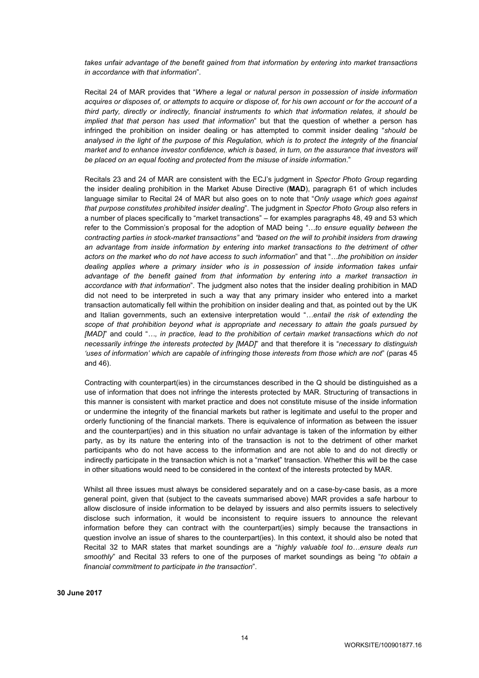*takes unfair advantage of the benefit gained from that information by entering into market transactions in accordance with that information*".

Recital 24 of MAR provides that "*Where a legal or natural person in possession of inside information acquires or disposes of, or attempts to acquire or dispose of, for his own account or for the account of a third party, directly or indirectly, financial instruments to which that information relates, it should be implied that that person has used that information*" but that the question of whether a person has infringed the prohibition on insider dealing or has attempted to commit insider dealing "*should be analysed in the light of the purpose of this Regulation, which is to protect the integrity of the financial market and to enhance investor confidence, which is based, in turn, on the assurance that investors will be placed on an equal footing and protected from the misuse of inside information*."

Recitals 23 and 24 of MAR are consistent with the ECJ's judgment in *Spector Photo Group* regarding the insider dealing prohibition in the Market Abuse Directive (**MAD**), paragraph 61 of which includes language similar to Recital 24 of MAR but also goes on to note that "*Only usage which goes against that purpose constitutes prohibited insider dealing*". The judgment in *Spector Photo Group* also refers in a number of places specifically to "market transactions" – for examples paragraphs 48, 49 and 53 which refer to the Commission's proposal for the adoption of MAD being "…*to ensure equality between the contracting parties in stock-market transactions"* and *"based on the will to prohibit insiders from drawing an advantage from inside information by entering into market transactions to the detriment of other actors on the market who do not have access to such information*" and that "*…the prohibition on insider dealing applies where a primary insider who is in possession of inside information takes unfair advantage of the benefit gained from that information by entering into a market transaction in accordance with that information*". The judgment also notes that the insider dealing prohibition in MAD did not need to be interpreted in such a way that any primary insider who entered into a market transaction automatically fell within the prohibition on insider dealing and that, as pointed out by the UK and Italian governments, such an extensive interpretation would "*…entail the risk of extending the scope of that prohibition beyond what is appropriate and necessary to attain the goals pursued by [MAD]*" and could "*…, in practice, lead to the prohibition of certain market transactions which do not necessarily infringe the interests protected by [MAD]*" and that therefore it is "*necessary to distinguish 'uses of information' which are capable of infringing those interests from those which are not*" (paras 45 and 46).

Contracting with counterpart(ies) in the circumstances described in the Q should be distinguished as a use of information that does not infringe the interests protected by MAR. Structuring of transactions in this manner is consistent with market practice and does not constitute misuse of the inside information or undermine the integrity of the financial markets but rather is legitimate and useful to the proper and orderly functioning of the financial markets. There is equivalence of information as between the issuer and the counterpart(ies) and in this situation no unfair advantage is taken of the information by either party, as by its nature the entering into of the transaction is not to the detriment of other market participants who do not have access to the information and are not able to and do not directly or indirectly participate in the transaction which is not a "market" transaction. Whether this will be the case in other situations would need to be considered in the context of the interests protected by MAR.

Whilst all three issues must always be considered separately and on a case-by-case basis, as a more general point, given that (subject to the caveats summarised above) MAR provides a safe harbour to allow disclosure of inside information to be delayed by issuers and also permits issuers to selectively disclose such information, it would be inconsistent to require issuers to announce the relevant information before they can contract with the counterpart(ies) simply because the transactions in question involve an issue of shares to the counterpart(ies). In this context, it should also be noted that Recital 32 to MAR states that market soundings are a "*highly valuable tool to…ensure deals run smoothly*" and Recital 33 refers to one of the purposes of market soundings as being "*to obtain a financial commitment to participate in the transaction*".